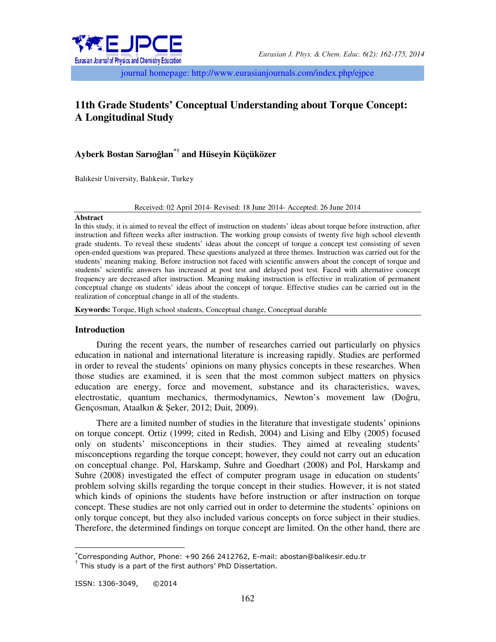

journal homepage: http://www.eurasianjournals.com/index.php/ejpce

# **11th Grade Students' Conceptual Understanding about Torque Concept: A Longitudinal Study**

## **Ayberk Bostan Sarıoğlan\*† and Hüseyin Küçüközer**

Balıkesir University, Balıkesir, Turkey

Received: 02 April 2014- Revised: 18 June 2014- Accepted: 26 June 2014

#### **Abstract**

In this study, it is aimed to reveal the effect of instruction on students' ideas about torque before instruction, after instruction and fifteen weeks after instruction. The working group consists of twenty five high school eleventh grade students. To reveal these students' ideas about the concept of torque a concept test consisting of seven open-ended questions was prepared. These questions analyzed at three themes. Instruction was carried out for the students' meaning making. Before instruction not faced with scientific answers about the concept of torque and students' scientific answers has increased at post test and delayed post test. Faced with alternative concept frequency are decreased after instruction. Meaning making instruction is effective in realization of permanent conceptual change on students' ideas about the concept of torque. Effective studies can be carried out in the realization of conceptual change in all of the students.

**Keywords:** Torque, High school students, Conceptual change, Conceptual durable

## **Introduction**

During the recent years, the number of researches carried out particularly on physics education in national and international literature is increasing rapidly. Studies are performed in order to reveal the students' opinions on many physics concepts in these researches. When those studies are examined, it is seen that the most common subject matters on physics education are energy, force and movement, substance and its characteristics, waves, electrostatic, quantum mechanics, thermodynamics, Newton's movement law (Doğru, Gençosman, Ataalkın & Şeker, 2012; Duit, 2009).

There are a limited number of studies in the literature that investigate students' opinions on torque concept. Ortiz (1999; cited in Redish, 2004) and Lising and Elby (2005) focused only on students' misconceptions in their studies. They aimed at revealing students' misconceptions regarding the torque concept; however, they could not carry out an education on conceptual change. Pol, Harskamp, Suhre and Goedhart (2008) and Pol, Harskamp and Suhre (2008) investigated the effect of computer program usage in education on students' problem solving skills regarding the torque concept in their studies. However, it is not stated which kinds of opinions the students have before instruction or after instruction on torque concept. These studies are not only carried out in order to determine the students' opinions on only torque concept, but they also included various concepts on force subject in their studies. Therefore, the determined findings on torque concept are limited. On the other hand, there are

 $\overline{a}$ 

<sup>\*</sup>Corresponding Author, Phone: +90 266 2412762, E-mail: abostan@balikesir.edu.tr

<sup>†</sup> This study is a part of the first authors' PhD Dissertation.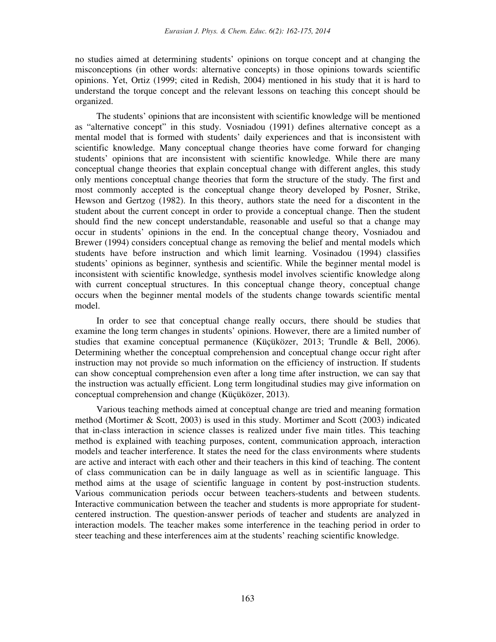no studies aimed at determining students' opinions on torque concept and at changing the misconceptions (in other words: alternative concepts) in those opinions towards scientific opinions. Yet, Ortiz (1999; cited in Redish, 2004) mentioned in his study that it is hard to understand the torque concept and the relevant lessons on teaching this concept should be organized.

The students' opinions that are inconsistent with scientific knowledge will be mentioned as "alternative concept" in this study. Vosniadou (1991) defines alternative concept as a mental model that is formed with students' daily experiences and that is inconsistent with scientific knowledge. Many conceptual change theories have come forward for changing students' opinions that are inconsistent with scientific knowledge. While there are many conceptual change theories that explain conceptual change with different angles, this study only mentions conceptual change theories that form the structure of the study. The first and most commonly accepted is the conceptual change theory developed by Posner, Strike, Hewson and Gertzog (1982). In this theory, authors state the need for a discontent in the student about the current concept in order to provide a conceptual change. Then the student should find the new concept understandable, reasonable and useful so that a change may occur in students' opinions in the end. In the conceptual change theory, Vosniadou and Brewer (1994) considers conceptual change as removing the belief and mental models which students have before instruction and which limit learning. Vosinadou (1994) classifies students' opinions as beginner, synthesis and scientific. While the beginner mental model is inconsistent with scientific knowledge, synthesis model involves scientific knowledge along with current conceptual structures. In this conceptual change theory, conceptual change occurs when the beginner mental models of the students change towards scientific mental model.

In order to see that conceptual change really occurs, there should be studies that examine the long term changes in students' opinions. However, there are a limited number of studies that examine conceptual permanence (Küçüközer, 2013; Trundle & Bell, 2006). Determining whether the conceptual comprehension and conceptual change occur right after instruction may not provide so much information on the efficiency of instruction. If students can show conceptual comprehension even after a long time after instruction, we can say that the instruction was actually efficient. Long term longitudinal studies may give information on conceptual comprehension and change (Küçüközer, 2013).

Various teaching methods aimed at conceptual change are tried and meaning formation method (Mortimer & Scott, 2003) is used in this study. Mortimer and Scott (2003) indicated that in-class interaction in science classes is realized under five main titles. This teaching method is explained with teaching purposes, content, communication approach, interaction models and teacher interference. It states the need for the class environments where students are active and interact with each other and their teachers in this kind of teaching. The content of class communication can be in daily language as well as in scientific language. This method aims at the usage of scientific language in content by post-instruction students. Various communication periods occur between teachers-students and between students. Interactive communication between the teacher and students is more appropriate for studentcentered instruction. The question-answer periods of teacher and students are analyzed in interaction models. The teacher makes some interference in the teaching period in order to steer teaching and these interferences aim at the students' reaching scientific knowledge.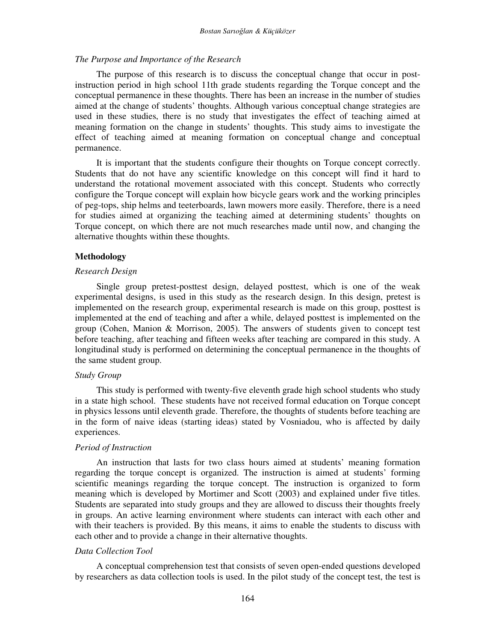#### *The Purpose and Importance of the Research*

The purpose of this research is to discuss the conceptual change that occur in postinstruction period in high school 11th grade students regarding the Torque concept and the conceptual permanence in these thoughts. There has been an increase in the number of studies aimed at the change of students' thoughts. Although various conceptual change strategies are used in these studies, there is no study that investigates the effect of teaching aimed at meaning formation on the change in students' thoughts. This study aims to investigate the effect of teaching aimed at meaning formation on conceptual change and conceptual permanence.

It is important that the students configure their thoughts on Torque concept correctly. Students that do not have any scientific knowledge on this concept will find it hard to understand the rotational movement associated with this concept. Students who correctly configure the Torque concept will explain how bicycle gears work and the working principles of peg-tops, ship helms and teeterboards, lawn mowers more easily. Therefore, there is a need for studies aimed at organizing the teaching aimed at determining students' thoughts on Torque concept, on which there are not much researches made until now, and changing the alternative thoughts within these thoughts.

#### **Methodology**

#### *Research Design*

Single group pretest-posttest design, delayed posttest, which is one of the weak experimental designs, is used in this study as the research design. In this design, pretest is implemented on the research group, experimental research is made on this group, posttest is implemented at the end of teaching and after a while, delayed posttest is implemented on the group (Cohen, Manion & Morrison, 2005). The answers of students given to concept test before teaching, after teaching and fifteen weeks after teaching are compared in this study. A longitudinal study is performed on determining the conceptual permanence in the thoughts of the same student group.

## *Study Group*

This study is performed with twenty-five eleventh grade high school students who study in a state high school. These students have not received formal education on Torque concept in physics lessons until eleventh grade. Therefore, the thoughts of students before teaching are in the form of naive ideas (starting ideas) stated by Vosniadou, who is affected by daily experiences.

#### *Period of Instruction*

An instruction that lasts for two class hours aimed at students' meaning formation regarding the torque concept is organized. The instruction is aimed at students' forming scientific meanings regarding the torque concept. The instruction is organized to form meaning which is developed by Mortimer and Scott (2003) and explained under five titles. Students are separated into study groups and they are allowed to discuss their thoughts freely in groups. An active learning environment where students can interact with each other and with their teachers is provided. By this means, it aims to enable the students to discuss with each other and to provide a change in their alternative thoughts.

### *Data Collection Tool*

A conceptual comprehension test that consists of seven open-ended questions developed by researchers as data collection tools is used. In the pilot study of the concept test, the test is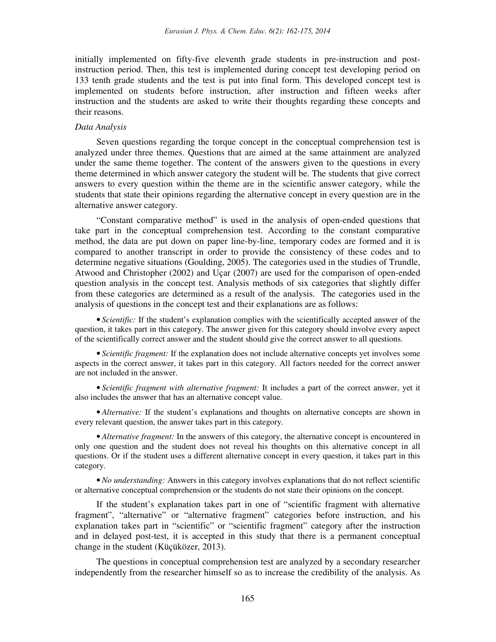initially implemented on fifty-five eleventh grade students in pre-instruction and postinstruction period. Then, this test is implemented during concept test developing period on 133 tenth grade students and the test is put into final form. This developed concept test is implemented on students before instruction, after instruction and fifteen weeks after instruction and the students are asked to write their thoughts regarding these concepts and their reasons.

#### *Data Analysis*

Seven questions regarding the torque concept in the conceptual comprehension test is analyzed under three themes. Questions that are aimed at the same attainment are analyzed under the same theme together. The content of the answers given to the questions in every theme determined in which answer category the student will be. The students that give correct answers to every question within the theme are in the scientific answer category, while the students that state their opinions regarding the alternative concept in every question are in the alternative answer category.

"Constant comparative method" is used in the analysis of open-ended questions that take part in the conceptual comprehension test. According to the constant comparative method, the data are put down on paper line-by-line, temporary codes are formed and it is compared to another transcript in order to provide the consistency of these codes and to determine negative situations (Goulding, 2005). The categories used in the studies of Trundle, Atwood and Christopher (2002) and Uçar (2007) are used for the comparison of open-ended question analysis in the concept test. Analysis methods of six categories that slightly differ from these categories are determined as a result of the analysis. The categories used in the analysis of questions in the concept test and their explanations are as follows:

• *Scientific:* If the student's explanation complies with the scientifically accepted answer of the question, it takes part in this category. The answer given for this category should involve every aspect of the scientifically correct answer and the student should give the correct answer to all questions.

• *Scientific fragment:* If the explanation does not include alternative concepts yet involves some aspects in the correct answer, it takes part in this category. All factors needed for the correct answer are not included in the answer.

• *Scientific fragment with alternative fragment:* It includes a part of the correct answer, yet it also includes the answer that has an alternative concept value.

• *Alternative:* If the student's explanations and thoughts on alternative concepts are shown in every relevant question, the answer takes part in this category.

• *Alternative fragment:* In the answers of this category, the alternative concept is encountered in only one question and the student does not reveal his thoughts on this alternative concept in all questions. Or if the student uses a different alternative concept in every question, it takes part in this category.

• *No understanding:* Answers in this category involves explanations that do not reflect scientific or alternative conceptual comprehension or the students do not state their opinions on the concept.

If the student's explanation takes part in one of "scientific fragment with alternative fragment", "alternative" or "alternative fragment" categories before instruction, and his explanation takes part in "scientific" or "scientific fragment" category after the instruction and in delayed post-test, it is accepted in this study that there is a permanent conceptual change in the student (Küçüközer, 2013).

The questions in conceptual comprehension test are analyzed by a secondary researcher independently from the researcher himself so as to increase the credibility of the analysis. As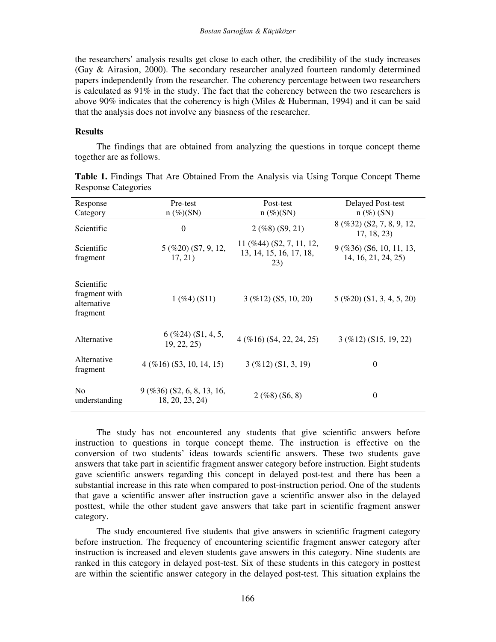the researchers' analysis results get close to each other, the credibility of the study increases (Gay & Airasion, 2000). The secondary researcher analyzed fourteen randomly determined papers independently from the researcher. The coherency percentage between two researchers is calculated as 91% in the study. The fact that the coherency between the two researchers is above 90% indicates that the coherency is high (Miles & Huberman, 1994) and it can be said that the analysis does not involve any biasness of the researcher.

## **Results**

The findings that are obtained from analyzing the questions in torque concept theme together are as follows.

| Response<br>Category                                   | Pre-test<br>$n \ (\%)(SN)$                      | Post-test<br>$n \ (\%)(SN)$                                                 | Delayed Post-test<br>$n \left( \% \right)$ (SN)         |
|--------------------------------------------------------|-------------------------------------------------|-----------------------------------------------------------------------------|---------------------------------------------------------|
| Scientific                                             | $\theta$                                        | $2($ %8) (S9, 21)                                                           | 8 (%32) (S2, 7, 8, 9, 12,<br>17, 18, 23                 |
| Scientific<br>fragment                                 | 5 (%20) (S7, 9, 12,<br>17, 21)                  | $11 \left( \% 44 \right) (S2, 7, 11, 12,$<br>13, 14, 15, 16, 17, 18,<br>23) | $9$ (%36) (S6, 10, 11, 13,<br>14, 16, 21, 24, 25)       |
| Scientific<br>fragment with<br>alternative<br>fragment | $1($ %4 $)$ (S11)                               | $3$ (%12) (S5, 10, 20)                                                      | $5 \left( \% 20 \right) \left( $1, 3, 4, 5, 20 \right)$ |
| Alternative                                            | $6($ %24 $)$ (S1, 4, 5,<br>19, 22, 25           | $4($ % $16)$ (S4, 22, 24, 25)                                               | $3($ %12) (S15, 19, 22)                                 |
| Alternative<br>fragment                                | $4$ (%16) (S3, 10, 14, 15)                      | $3($ %12) (S1, 3, 19)                                                       | $\boldsymbol{0}$                                        |
| N <sub>0</sub><br>understanding                        | $9$ (%36) (S2, 6, 8, 13, 16,<br>18, 20, 23, 24) | $2($ %8) (S6, 8)                                                            | $\boldsymbol{0}$                                        |

**Table 1.** Findings That Are Obtained From the Analysis via Using Torque Concept Theme Response Categories

The study has not encountered any students that give scientific answers before instruction to questions in torque concept theme. The instruction is effective on the conversion of two students' ideas towards scientific answers. These two students gave answers that take part in scientific fragment answer category before instruction. Eight students gave scientific answers regarding this concept in delayed post-test and there has been a substantial increase in this rate when compared to post-instruction period. One of the students that gave a scientific answer after instruction gave a scientific answer also in the delayed posttest, while the other student gave answers that take part in scientific fragment answer category.

The study encountered five students that give answers in scientific fragment category before instruction. The frequency of encountering scientific fragment answer category after instruction is increased and eleven students gave answers in this category. Nine students are ranked in this category in delayed post-test. Six of these students in this category in posttest are within the scientific answer category in the delayed post-test. This situation explains the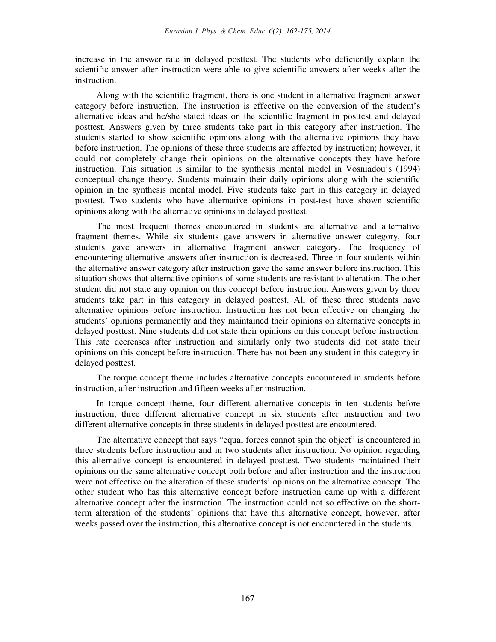increase in the answer rate in delayed posttest. The students who deficiently explain the scientific answer after instruction were able to give scientific answers after weeks after the instruction.

Along with the scientific fragment, there is one student in alternative fragment answer category before instruction. The instruction is effective on the conversion of the student's alternative ideas and he/she stated ideas on the scientific fragment in posttest and delayed posttest. Answers given by three students take part in this category after instruction. The students started to show scientific opinions along with the alternative opinions they have before instruction. The opinions of these three students are affected by instruction; however, it could not completely change their opinions on the alternative concepts they have before instruction. This situation is similar to the synthesis mental model in Vosniadou's (1994) conceptual change theory. Students maintain their daily opinions along with the scientific opinion in the synthesis mental model. Five students take part in this category in delayed posttest. Two students who have alternative opinions in post-test have shown scientific opinions along with the alternative opinions in delayed posttest.

The most frequent themes encountered in students are alternative and alternative fragment themes. While six students gave answers in alternative answer category, four students gave answers in alternative fragment answer category. The frequency of encountering alternative answers after instruction is decreased. Three in four students within the alternative answer category after instruction gave the same answer before instruction. This situation shows that alternative opinions of some students are resistant to alteration. The other student did not state any opinion on this concept before instruction. Answers given by three students take part in this category in delayed posttest. All of these three students have alternative opinions before instruction. Instruction has not been effective on changing the students' opinions permanently and they maintained their opinions on alternative concepts in delayed posttest. Nine students did not state their opinions on this concept before instruction. This rate decreases after instruction and similarly only two students did not state their opinions on this concept before instruction. There has not been any student in this category in delayed posttest.

The torque concept theme includes alternative concepts encountered in students before instruction, after instruction and fifteen weeks after instruction.

In torque concept theme, four different alternative concepts in ten students before instruction, three different alternative concept in six students after instruction and two different alternative concepts in three students in delayed posttest are encountered.

The alternative concept that says "equal forces cannot spin the object" is encountered in three students before instruction and in two students after instruction. No opinion regarding this alternative concept is encountered in delayed posttest. Two students maintained their opinions on the same alternative concept both before and after instruction and the instruction were not effective on the alteration of these students' opinions on the alternative concept. The other student who has this alternative concept before instruction came up with a different alternative concept after the instruction. The instruction could not so effective on the shortterm alteration of the students' opinions that have this alternative concept, however, after weeks passed over the instruction, this alternative concept is not encountered in the students.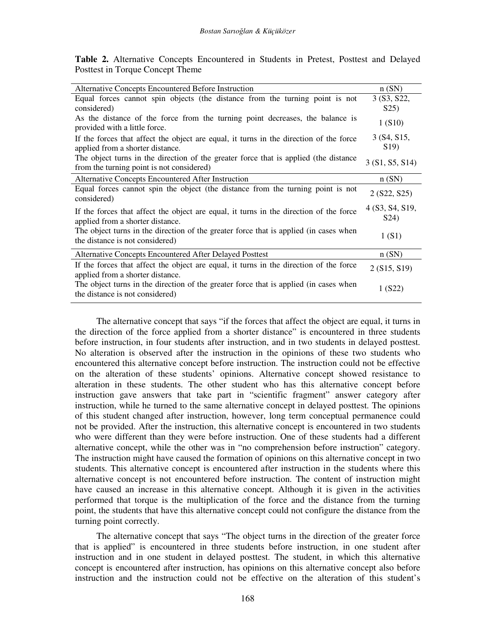**Table 2.** Alternative Concepts Encountered in Students in Pretest, Posttest and Delayed Posttest in Torque Concept Theme

| Alternative Concepts Encountered Before Instruction                                                                               | n(SN)                                |
|-----------------------------------------------------------------------------------------------------------------------------------|--------------------------------------|
| Equal forces cannot spin objects (the distance from the turning point is not<br>considered)                                       | 3 (S3, S22,<br>S <sub>25</sub>       |
| As the distance of the force from the turning point decreases, the balance is<br>provided with a little force.                    | 1(S10)                               |
| If the forces that affect the object are equal, it turns in the direction of the force<br>applied from a shorter distance.        | 3 (S4, S15,<br>S <sub>19</sub>       |
| The object turns in the direction of the greater force that is applied (the distance<br>from the turning point is not considered) | 3(51, 55, 514)                       |
| Alternative Concepts Encountered After Instruction                                                                                | n(SN)                                |
| Equal forces cannot spin the object (the distance from the turning point is not<br>considered)                                    | 2 (S22, S25)                         |
| If the forces that affect the object are equal, it turns in the direction of the force<br>applied from a shorter distance.        | 4 (S3, S4, S19,<br>S <sub>24</sub> ) |
| The object turns in the direction of the greater force that is applied (in cases when<br>the distance is not considered)          | 1(S1)                                |
| Alternative Concepts Encountered After Delayed Posttest                                                                           | n(SN)                                |
| If the forces that affect the object are equal, it turns in the direction of the force<br>applied from a shorter distance.        | 2 (S15, S19)                         |
| The object turns in the direction of the greater force that is applied (in cases when<br>the distance is not considered)          | 1(S22)                               |

The alternative concept that says "if the forces that affect the object are equal, it turns in the direction of the force applied from a shorter distance" is encountered in three students before instruction, in four students after instruction, and in two students in delayed posttest. No alteration is observed after the instruction in the opinions of these two students who encountered this alternative concept before instruction. The instruction could not be effective on the alteration of these students' opinions. Alternative concept showed resistance to alteration in these students. The other student who has this alternative concept before instruction gave answers that take part in "scientific fragment" answer category after instruction, while he turned to the same alternative concept in delayed posttest. The opinions of this student changed after instruction, however, long term conceptual permanence could not be provided. After the instruction, this alternative concept is encountered in two students who were different than they were before instruction. One of these students had a different alternative concept, while the other was in "no comprehension before instruction" category. The instruction might have caused the formation of opinions on this alternative concept in two students. This alternative concept is encountered after instruction in the students where this alternative concept is not encountered before instruction. The content of instruction might have caused an increase in this alternative concept. Although it is given in the activities performed that torque is the multiplication of the force and the distance from the turning point, the students that have this alternative concept could not configure the distance from the turning point correctly.

The alternative concept that says "The object turns in the direction of the greater force that is applied" is encountered in three students before instruction, in one student after instruction and in one student in delayed posttest. The student, in which this alternative concept is encountered after instruction, has opinions on this alternative concept also before instruction and the instruction could not be effective on the alteration of this student's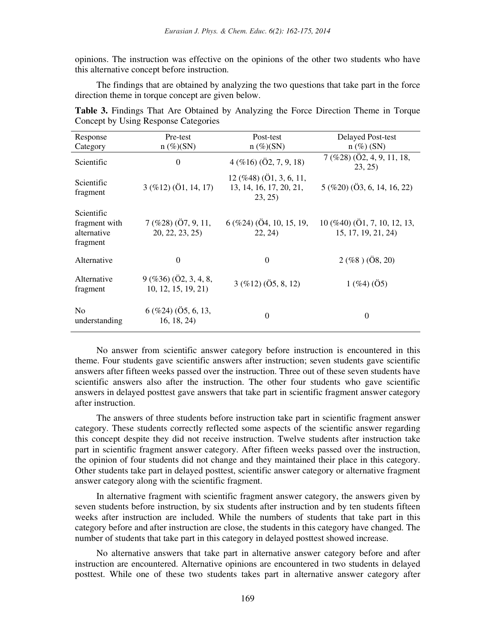opinions. The instruction was effective on the opinions of the other two students who have this alternative concept before instruction.

The findings that are obtained by analyzing the two questions that take part in the force direction theme in torque concept are given below.

| Response                                               | Pre-test                                             | Post-test                                                                        | <b>Delayed Post-test</b>                                            |
|--------------------------------------------------------|------------------------------------------------------|----------------------------------------------------------------------------------|---------------------------------------------------------------------|
| Category                                               | $n (\%) (SN)$                                        | $n (\%) (SN)$                                                                    | $n \left( \% \right)$ (SN)                                          |
| Scientific                                             | $\boldsymbol{0}$                                     | $4($ % $16)$ $($ $\ddot{O}2, 7, 9, 18)$                                          | $7($ %28 $)$ $($ Ö2, 4, 9, 11, 18,<br>23, 25)                       |
| Scientific<br>fragment                                 | $3($ %12) $($ Ö1, 14, 17)                            | $12 \left( \% 48 \right) (01, 3, 6, 11, )$<br>13, 14, 16, 17, 20, 21,<br>23, 25) | $5 \left( \% 20 \right) \left( \ddot{O}3, 6, 14, 16, 22 \right)$    |
| Scientific<br>fragment with<br>alternative<br>fragment | $7\,($ %28) $($ Ö7, 9, 11,<br>20, 22, 23, 25)        | $6$ (%24) ( $\ddot{O}4$ , 10, 15, 19,<br>22, 24)                                 | $10 \, (\%40) \, (\ddot{O1}, 7, 10, 12, 13,$<br>15, 17, 19, 21, 24) |
| Alternative                                            | $\Omega$                                             | 0                                                                                | $2($ %8) $($ Ö8, 20)                                                |
| Alternative<br>fragment                                | $9($ %36 $)$ $($ Ö2, 3, 4, 8,<br>10, 12, 15, 19, 21) | $3($ %12) $($ Ö5, 8, 12)                                                         | $1($ %4 $)$ $($ Ö5 $)$                                              |
| N <sub>0</sub><br>understanding                        | $6($ %24 $)$ $($ Ö5, 6, 13,<br>16, 18, 24            | 0                                                                                | $\theta$                                                            |

**Table 3.** Findings That Are Obtained by Analyzing the Force Direction Theme in Torque Concept by Using Response Categories

No answer from scientific answer category before instruction is encountered in this theme. Four students gave scientific answers after instruction; seven students gave scientific answers after fifteen weeks passed over the instruction. Three out of these seven students have scientific answers also after the instruction. The other four students who gave scientific answers in delayed posttest gave answers that take part in scientific fragment answer category after instruction.

The answers of three students before instruction take part in scientific fragment answer category. These students correctly reflected some aspects of the scientific answer regarding this concept despite they did not receive instruction. Twelve students after instruction take part in scientific fragment answer category. After fifteen weeks passed over the instruction, the opinion of four students did not change and they maintained their place in this category. Other students take part in delayed posttest, scientific answer category or alternative fragment answer category along with the scientific fragment.

In alternative fragment with scientific fragment answer category, the answers given by seven students before instruction, by six students after instruction and by ten students fifteen weeks after instruction are included. While the numbers of students that take part in this category before and after instruction are close, the students in this category have changed. The number of students that take part in this category in delayed posttest showed increase.

No alternative answers that take part in alternative answer category before and after instruction are encountered. Alternative opinions are encountered in two students in delayed posttest. While one of these two students takes part in alternative answer category after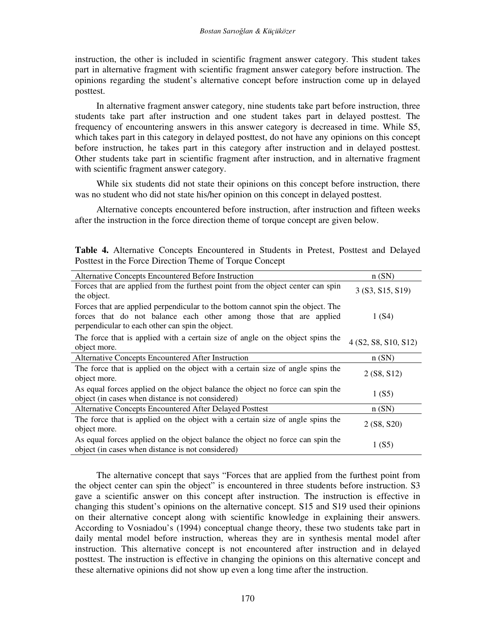instruction, the other is included in scientific fragment answer category. This student takes part in alternative fragment with scientific fragment answer category before instruction. The opinions regarding the student's alternative concept before instruction come up in delayed posttest.

In alternative fragment answer category, nine students take part before instruction, three students take part after instruction and one student takes part in delayed posttest. The frequency of encountering answers in this answer category is decreased in time. While S5, which takes part in this category in delayed posttest, do not have any opinions on this concept before instruction, he takes part in this category after instruction and in delayed posttest. Other students take part in scientific fragment after instruction, and in alternative fragment with scientific fragment answer category.

While six students did not state their opinions on this concept before instruction, there was no student who did not state his/her opinion on this concept in delayed posttest.

Alternative concepts encountered before instruction, after instruction and fifteen weeks after the instruction in the force direction theme of torque concept are given below.

|  | Table 4. Alternative Concepts Encountered in Students in Pretest, Posttest and Delayed |  |  |  |  |
|--|----------------------------------------------------------------------------------------|--|--|--|--|
|  | Posttest in the Force Direction Theme of Torque Concept                                |  |  |  |  |

| Alternative Concepts Encountered Before Instruction                                                                                                                                                       | n(SN)                |
|-----------------------------------------------------------------------------------------------------------------------------------------------------------------------------------------------------------|----------------------|
| Forces that are applied from the furthest point from the object center can spin<br>the object.                                                                                                            | 3 (S3, S15, S19)     |
| Forces that are applied perpendicular to the bottom cannot spin the object. The<br>forces that do not balance each other among those that are applied<br>perpendicular to each other can spin the object. | 1(S4)                |
| The force that is applied with a certain size of angle on the object spins the<br>object more.                                                                                                            | 4 (S2, S8, S10, S12) |
| Alternative Concepts Encountered After Instruction                                                                                                                                                        | n(SN)                |
| The force that is applied on the object with a certain size of angle spins the<br>object more.                                                                                                            | 2(S8, S12)           |
| As equal forces applied on the object balance the object no force can spin the<br>object (in cases when distance is not considered)                                                                       | 1(S5)                |
| Alternative Concepts Encountered After Delayed Posttest                                                                                                                                                   | n(SN)                |
| The force that is applied on the object with a certain size of angle spins the<br>object more.                                                                                                            | 2 (S8, S20)          |
| As equal forces applied on the object balance the object no force can spin the<br>object (in cases when distance is not considered)                                                                       | 1(S5)                |

The alternative concept that says "Forces that are applied from the furthest point from the object center can spin the object" is encountered in three students before instruction. S3 gave a scientific answer on this concept after instruction. The instruction is effective in changing this student's opinions on the alternative concept. S15 and S19 used their opinions on their alternative concept along with scientific knowledge in explaining their answers. According to Vosniadou's (1994) conceptual change theory, these two students take part in daily mental model before instruction, whereas they are in synthesis mental model after instruction. This alternative concept is not encountered after instruction and in delayed posttest. The instruction is effective in changing the opinions on this alternative concept and these alternative opinions did not show up even a long time after the instruction.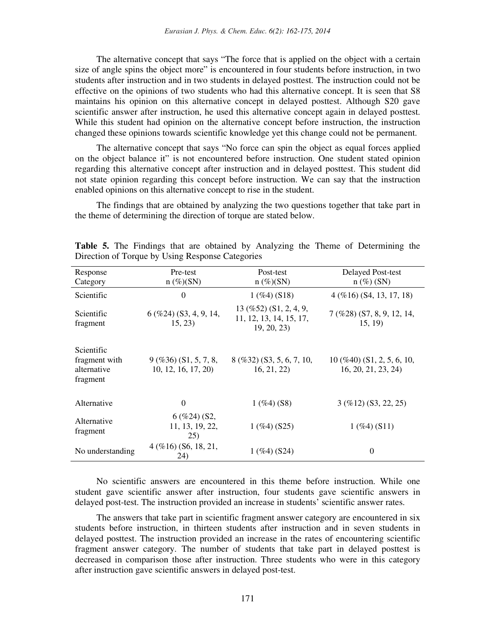The alternative concept that says "The force that is applied on the object with a certain size of angle spins the object more" is encountered in four students before instruction, in two students after instruction and in two students in delayed posttest. The instruction could not be effective on the opinions of two students who had this alternative concept. It is seen that S8 maintains his opinion on this alternative concept in delayed posttest. Although S20 gave scientific answer after instruction, he used this alternative concept again in delayed posttest. While this student had opinion on the alternative concept before instruction, the instruction changed these opinions towards scientific knowledge yet this change could not be permanent.

The alternative concept that says "No force can spin the object as equal forces applied on the object balance it" is not encountered before instruction. One student stated opinion regarding this alternative concept after instruction and in delayed posttest. This student did not state opinion regarding this concept before instruction. We can say that the instruction enabled opinions on this alternative concept to rise in the student.

The findings that are obtained by analyzing the two questions together that take part in the theme of determining the direction of torque are stated below.

| Response<br>Category                                   | Pre-test<br>$n (\%) (SN)$                         | Post-test<br>$n (\%) (SN)$                                                        | <b>Delayed Post-test</b><br>$n \left( \% \right)$ (SN)             |
|--------------------------------------------------------|---------------------------------------------------|-----------------------------------------------------------------------------------|--------------------------------------------------------------------|
| Scientific                                             | $\theta$                                          | $1($ %4) (S18)                                                                    | $4$ (%16) (S4, 13, 17, 18)                                         |
| Scientific<br>fragment                                 | $6$ (%24) (S3, 4, 9, 14,<br>15, 23)               | $13 \, (\% 52) \, (\text{S1}, 2, 4, 9,$<br>11, 12, 13, 14, 15, 17,<br>19, 20, 23) | $7($ %28) (S7, 8, 9, 12, 14,<br>15, 19                             |
| Scientific<br>fragment with<br>alternative<br>fragment | $9($ %36 $)$ (S1, 5, 7, 8,<br>10, 12, 16, 17, 20) | $8$ (%32) (S3, 5, 6, 7, 10,<br>16, 21, 22)                                        | $10 \left( \% 40 \right) (S1, 2, 5, 6, 10,$<br>16, 20, 21, 23, 24) |
| Alternative                                            | $\Omega$                                          | $1($ %4) (S8)                                                                     | $3($ %12) (S3, 22, 25)                                             |
| Alternative<br>fragment                                | $6($ %24) (S2,<br>11, 13, 19, 22,<br>25)          | $1($ %4) (S25)                                                                    | $1 ($ %4 $) (S11)$                                                 |
| No understanding                                       | $4($ % $16)$ (S6, 18, 21,<br>24)                  | $1($ %4) (S24)                                                                    | $\theta$                                                           |

**Table 5.** The Findings that are obtained by Analyzing the Theme of Determining the Direction of Torque by Using Response Categories

No scientific answers are encountered in this theme before instruction. While one student gave scientific answer after instruction, four students gave scientific answers in delayed post-test. The instruction provided an increase in students' scientific answer rates.

The answers that take part in scientific fragment answer category are encountered in six students before instruction, in thirteen students after instruction and in seven students in delayed posttest. The instruction provided an increase in the rates of encountering scientific fragment answer category. The number of students that take part in delayed posttest is decreased in comparison those after instruction. Three students who were in this category after instruction gave scientific answers in delayed post-test.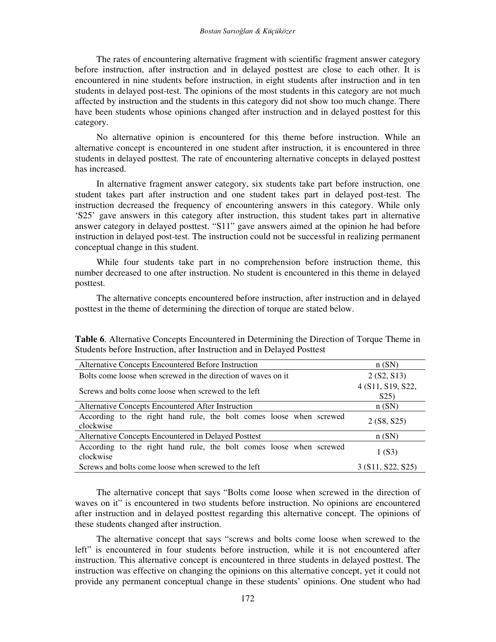The rates of encountering alternative fragment with scientific fragment answer category before instruction, after instruction and in delayed posttest are close to each other. It is encountered in nine students before instruction, in eight students after instruction and in ten students in delayed post-test. The opinions of the most students in this category are not much affected by instruction and the students in this category did not show too much change. There have been students whose opinions changed after instruction and in delayed posttest for this category.

No alternative opinion is encountered for this theme before instruction. While an alternative concept is encountered in one student after instruction, it is encountered in three students in delayed posttest. The rate of encountering alternative concepts in delayed posttest has increased.

In alternative fragment answer category, six students take part before instruction, one student takes part after instruction and one student takes part in delayed post-test. The instruction decreased the frequency of encountering answers in this category. While only 'S25' gave answers in this category after instruction, this student takes part in alternative answer category in delayed posttest. "S11" gave answers aimed at the opinion he had before instruction in delayed post-test. The instruction could not be successful in realizing permanent conceptual change in this student.

While four students take part in no comprehension before instruction theme, this number decreased to one after instruction. No student is encountered in this theme in delayed posttest.

The alternative concepts encountered before instruction, after instruction and in delayed posttest in the theme of determining the direction of torque are stated below.

**Table 6**. Alternative Concepts Encountered in Determining the Direction of Torque Theme in Students before Instruction, after Instruction and in Delayed Posttest

| Alternative Concepts Encountered Before Instruction                              | n(SN)                                  |
|----------------------------------------------------------------------------------|----------------------------------------|
| Bolts come loose when screwed in the direction of waves on it                    | 2(S2, S13)                             |
| Screws and bolts come loose when screwed to the left                             | 4 (S11, S19, S22,<br>S <sub>25</sub> ) |
| Alternative Concepts Encountered After Instruction                               | n(SN)                                  |
| According to the right hand rule, the bolt comes loose when screwed<br>clockwise | 2 (S8, S25)                            |
| Alternative Concepts Encountered in Delayed Posttest                             | n(SN)                                  |
| According to the right hand rule, the bolt comes loose when screwed<br>clockwise | 1(S3)                                  |
| Screws and bolts come loose when screwed to the left                             | 3 (S11, S22, S25)                      |

The alternative concept that says "Bolts come loose when screwed in the direction of waves on it" is encountered in two students before instruction. No opinions are encountered after instruction and in delayed posttest regarding this alternative concept. The opinions of these students changed after instruction.

The alternative concept that says "screws and bolts come loose when screwed to the left" is encountered in four students before instruction, while it is not encountered after instruction. This alternative concept is encountered in three students in delayed posttest. The instruction was effective on changing the opinions on this alternative concept, yet it could not provide any permanent conceptual change in these students' opinions. One student who had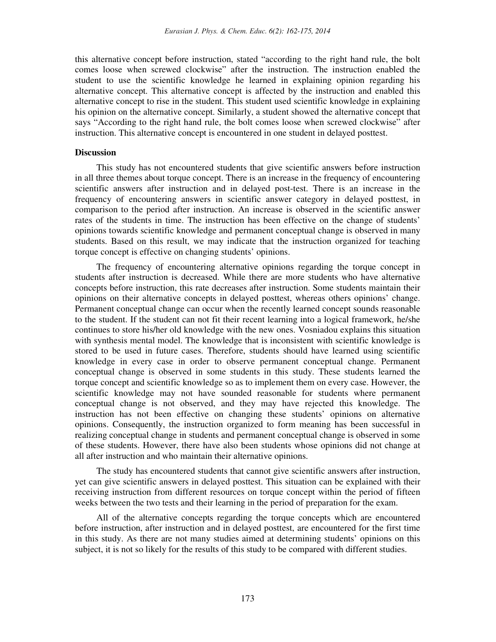this alternative concept before instruction, stated "according to the right hand rule, the bolt comes loose when screwed clockwise" after the instruction. The instruction enabled the student to use the scientific knowledge he learned in explaining opinion regarding his alternative concept. This alternative concept is affected by the instruction and enabled this alternative concept to rise in the student. This student used scientific knowledge in explaining his opinion on the alternative concept. Similarly, a student showed the alternative concept that says "According to the right hand rule, the bolt comes loose when screwed clockwise" after instruction. This alternative concept is encountered in one student in delayed posttest.

## **Discussion**

This study has not encountered students that give scientific answers before instruction in all three themes about torque concept. There is an increase in the frequency of encountering scientific answers after instruction and in delayed post-test. There is an increase in the frequency of encountering answers in scientific answer category in delayed posttest, in comparison to the period after instruction. An increase is observed in the scientific answer rates of the students in time. The instruction has been effective on the change of students' opinions towards scientific knowledge and permanent conceptual change is observed in many students. Based on this result, we may indicate that the instruction organized for teaching torque concept is effective on changing students' opinions.

The frequency of encountering alternative opinions regarding the torque concept in students after instruction is decreased. While there are more students who have alternative concepts before instruction, this rate decreases after instruction. Some students maintain their opinions on their alternative concepts in delayed posttest, whereas others opinions' change. Permanent conceptual change can occur when the recently learned concept sounds reasonable to the student. If the student can not fit their recent learning into a logical framework, he/she continues to store his/her old knowledge with the new ones. Vosniadou explains this situation with synthesis mental model. The knowledge that is inconsistent with scientific knowledge is stored to be used in future cases. Therefore, students should have learned using scientific knowledge in every case in order to observe permanent conceptual change. Permanent conceptual change is observed in some students in this study. These students learned the torque concept and scientific knowledge so as to implement them on every case. However, the scientific knowledge may not have sounded reasonable for students where permanent conceptual change is not observed, and they may have rejected this knowledge. The instruction has not been effective on changing these students' opinions on alternative opinions. Consequently, the instruction organized to form meaning has been successful in realizing conceptual change in students and permanent conceptual change is observed in some of these students. However, there have also been students whose opinions did not change at all after instruction and who maintain their alternative opinions.

The study has encountered students that cannot give scientific answers after instruction, yet can give scientific answers in delayed posttest. This situation can be explained with their receiving instruction from different resources on torque concept within the period of fifteen weeks between the two tests and their learning in the period of preparation for the exam.

All of the alternative concepts regarding the torque concepts which are encountered before instruction, after instruction and in delayed posttest, are encountered for the first time in this study. As there are not many studies aimed at determining students' opinions on this subject, it is not so likely for the results of this study to be compared with different studies.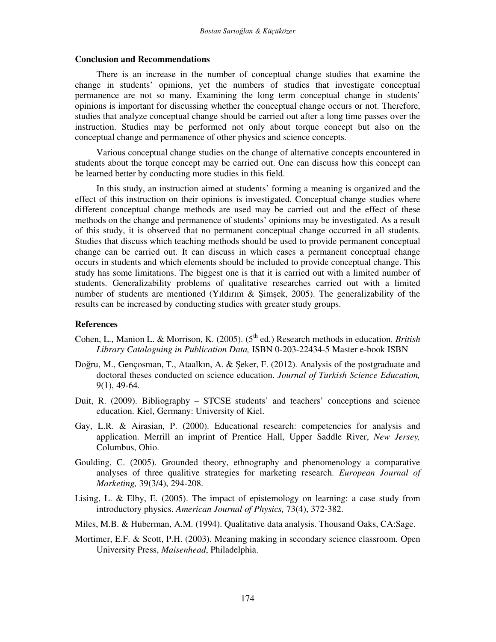#### **Conclusion and Recommendations**

There is an increase in the number of conceptual change studies that examine the change in students' opinions, yet the numbers of studies that investigate conceptual permanence are not so many. Examining the long term conceptual change in students' opinions is important for discussing whether the conceptual change occurs or not. Therefore, studies that analyze conceptual change should be carried out after a long time passes over the instruction. Studies may be performed not only about torque concept but also on the conceptual change and permanence of other physics and science concepts.

Various conceptual change studies on the change of alternative concepts encountered in students about the torque concept may be carried out. One can discuss how this concept can be learned better by conducting more studies in this field.

In this study, an instruction aimed at students' forming a meaning is organized and the effect of this instruction on their opinions is investigated. Conceptual change studies where different conceptual change methods are used may be carried out and the effect of these methods on the change and permanence of students' opinions may be investigated. As a result of this study, it is observed that no permanent conceptual change occurred in all students. Studies that discuss which teaching methods should be used to provide permanent conceptual change can be carried out. It can discuss in which cases a permanent conceptual change occurs in students and which elements should be included to provide conceptual change. This study has some limitations. The biggest one is that it is carried out with a limited number of students. Generalizability problems of qualitative researches carried out with a limited number of students are mentioned (Yıldırım & Şimşek, 2005). The generalizability of the results can be increased by conducting studies with greater study groups.

#### **References**

- Cohen, L., Manion L. & Morrison, K. (2005). (5<sup>th</sup> ed.) Research methods in education. *British Library Cataloguing in Publication Data,* ISBN 0-203-22434-5 Master e-book ISBN
- Doğru, M., Gençosman, T., Ataalkın, A. & Şeker, F. (2012). Analysis of the postgraduate and doctoral theses conducted on science education. *Journal of Turkish Science Education,* 9(1), 49-64.
- Duit, R. (2009). Bibliography STCSE students' and teachers' conceptions and science education. Kiel, Germany: University of Kiel.
- Gay, L.R. & Airasian, P. (2000). Educational research: competencies for analysis and application. Merrill an imprint of Prentice Hall, Upper Saddle River, *New Jersey,* Columbus, Ohio.
- Goulding, C. (2005). Grounded theory, ethnography and phenomenology a comparative analyses of three qualitive strategies for marketing research. *European Journal of Marketing,* 39(3/4), 294-208.
- Lising, L. & Elby, E. (2005). The impact of epistemology on learning: a case study from introductory physics. *American Journal of Physics,* 73(4), 372-382.
- Miles, M.B. & Huberman, A.M. (1994). Qualitative data analysis. Thousand Oaks, CA:Sage.
- Mortimer, E.F. & Scott, P.H. (2003). Meaning making in secondary science classroom. Open University Press, *Maisenhead*, Philadelphia.